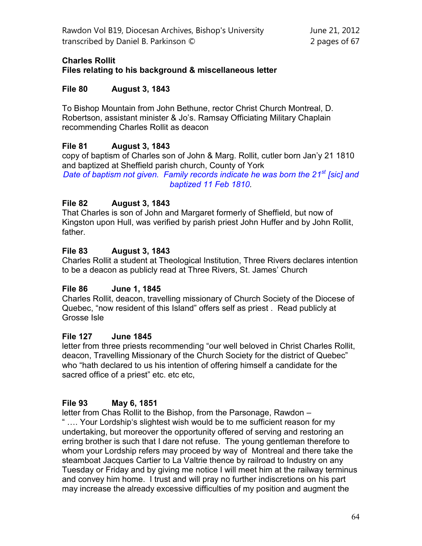# **Charles Rollit**

#### **Files relating to his background & miscellaneous letter**

## **File 80 August 3, 1843**

To Bishop Mountain from John Bethune, rector Christ Church Montreal, D. Robertson, assistant minister & Jo's. Ramsay Officiating Military Chaplain recommending Charles Rollit as deacon

## **File 81 August 3, 1843**

copy of baptism of Charles son of John & Marg. Rollit, cutler born Jan'y 21 1810 and baptized at Sheffield parish church, County of York Date of baptism not given. Family records indicate he was born the 21<sup>st</sup> [sic] and *baptized 11 Feb 1810.*

## **File 82 August 3, 1843**

That Charles is son of John and Margaret formerly of Sheffield, but now of Kingston upon Hull, was verified by parish priest John Huffer and by John Rollit, father.

## **File 83 August 3, 1843**

Charles Rollit a student at Theological Institution, Three Rivers declares intention to be a deacon as publicly read at Three Rivers, St. James' Church

#### **File 86 June 1, 1845**

Charles Rollit, deacon, travelling missionary of Church Society of the Diocese of Quebec, "now resident of this Island" offers self as priest . Read publicly at Grosse Isle

# **File 127 June 1845**

letter from three priests recommending "our well beloved in Christ Charles Rollit, deacon, Travelling Missionary of the Church Society for the district of Quebec" who "hath declared to us his intention of offering himself a candidate for the sacred office of a priest" etc. etc etc,

# **File 93 May 6, 1851**

letter from Chas Rollit to the Bishop, from the Parsonage, Rawdon – " …. Your Lordship's slightest wish would be to me sufficient reason for my undertaking, but moreover the opportunity offered of serving and restoring an erring brother is such that I dare not refuse. The young gentleman therefore to whom your Lordship refers may proceed by way of Montreal and there take the steamboat Jacques Cartier to La Valtrie thence by railroad to Industry on any Tuesday or Friday and by giving me notice I will meet him at the railway terminus and convey him home. I trust and will pray no further indiscretions on his part may increase the already excessive difficulties of my position and augment the